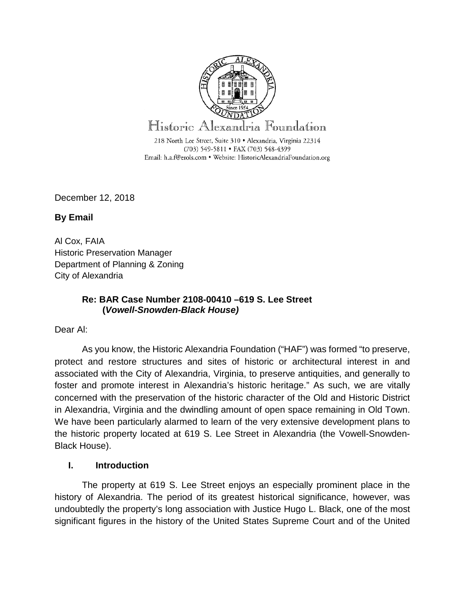

December 12, 2018

**By Email** 

Al Cox, FAIA Historic Preservation Manager Department of Planning & Zoning City of Alexandria

## **Re: BAR Case Number 2108-00410 –619 S. Lee Street (***Vowell-Snowden-Black House)*

Dear Al:

As you know, the Historic Alexandria Foundation ("HAF") was formed "to preserve, protect and restore structures and sites of historic or architectural interest in and associated with the City of Alexandria, Virginia, to preserve antiquities, and generally to foster and promote interest in Alexandria's historic heritage." As such, we are vitally concerned with the preservation of the historic character of the Old and Historic District in Alexandria, Virginia and the dwindling amount of open space remaining in Old Town. We have been particularly alarmed to learn of the very extensive development plans to the historic property located at 619 S. Lee Street in Alexandria (the Vowell-Snowden-Black House).

## **I. Introduction**

The property at 619 S. Lee Street enjoys an especially prominent place in the history of Alexandria. The period of its greatest historical significance, however, was undoubtedly the property's long association with Justice Hugo L. Black, one of the most significant figures in the history of the United States Supreme Court and of the United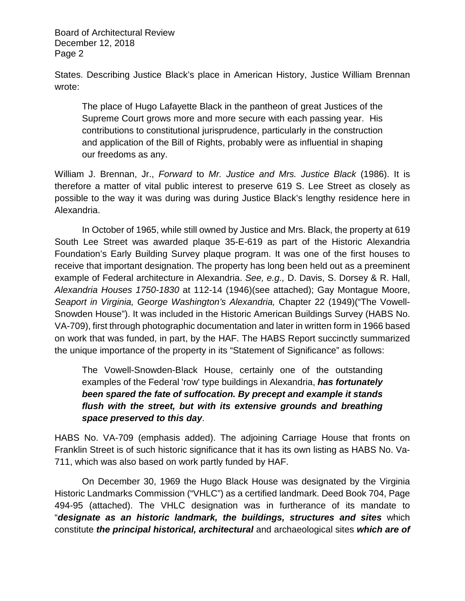States. Describing Justice Black's place in American History, Justice William Brennan wrote:

The place of Hugo Lafayette Black in the pantheon of great Justices of the Supreme Court grows more and more secure with each passing year. His contributions to constitutional jurisprudence, particularly in the construction and application of the Bill of Rights, probably were as influential in shaping our freedoms as any.

William J. Brennan, Jr., *Forward* to *Mr. Justice and Mrs. Justice Black* (1986). It is therefore a matter of vital public interest to preserve 619 S. Lee Street as closely as possible to the way it was during was during Justice Black's lengthy residence here in Alexandria.

In October of 1965, while still owned by Justice and Mrs. Black, the property at 619 South Lee Street was awarded plaque 35-E-619 as part of the Historic Alexandria Foundation's Early Building Survey plaque program. It was one of the first houses to receive that important designation. The property has long been held out as a preeminent example of Federal architecture in Alexandria. *See, e.g.,* D. Davis, S. Dorsey & R. Hall, *Alexandria Houses 1750-1830* at 112-14 (1946)(see attached); Gay Montague Moore, *Seaport in Virginia, George Washington's Alexandria,* Chapter 22 (1949)("The Vowell-Snowden House"). It was included in the Historic American Buildings Survey (HABS No. VA-709), first through photographic documentation and later in written form in 1966 based on work that was funded, in part, by the HAF. The HABS Report succinctly summarized the unique importance of the property in its "Statement of Significance" as follows:

The Vowell-Snowden-Black House, certainly one of the outstanding examples of the Federal 'row' type buildings in Alexandria, *has fortunately been spared the fate of suffocation. By precept and example it stands flush with the street, but with its extensive grounds and breathing space preserved to this day*.

HABS No. VA-709 (emphasis added). The adjoining Carriage House that fronts on Franklin Street is of such historic significance that it has its own listing as HABS No. Va-711, which was also based on work partly funded by HAF.

On December 30, 1969 the Hugo Black House was designated by the Virginia Historic Landmarks Commission ("VHLC") as a certified landmark. Deed Book 704, Page 494-95 (attached). The VHLC designation was in furtherance of its mandate to "*designate as an historic landmark, the buildings, structures and sites* which constitute *the principal historical, architectural* and archaeological sites *which are of*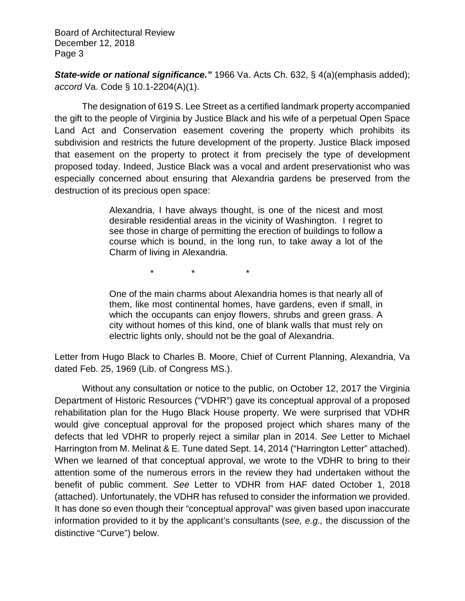*State-wide or national significance."* 1966 Va. Acts Ch. 632, § 4(a)(emphasis added); *accord* Va. Code § 10.1-2204(A)(1).

The designation of 619 S. Lee Street as a certified landmark property accompanied the gift to the people of Virginia by Justice Black and his wife of a perpetual Open Space Land Act and Conservation easement covering the property which prohibits its subdivision and restricts the future development of the property. Justice Black imposed that easement on the property to protect it from precisely the type of development proposed today. Indeed, Justice Black was a vocal and ardent preservationist who was especially concerned about ensuring that Alexandria gardens be preserved from the destruction of its precious open space:

> Alexandria, I have always thought, is one of the nicest and most desirable residential areas in the vicinity of Washington. I regret to see those in charge of permitting the erection of buildings to follow a course which is bound, in the long run, to take away a lot of the Charm of living in Alexandria.

> > \* \* \*

One of the main charms about Alexandria homes is that nearly all of them, like most continental homes, have gardens, even if small, in which the occupants can enjoy flowers, shrubs and green grass. A city without homes of this kind, one of blank walls that must rely on electric lights only, should not be the goal of Alexandria.

Letter from Hugo Black to Charles B. Moore, Chief of Current Planning, Alexandria, Va dated Feb. 25, 1969 (Lib. of Congress MS.).

Without any consultation or notice to the public, on October 12, 2017 the Virginia Department of Historic Resources ("VDHR") gave its conceptual approval of a proposed rehabilitation plan for the Hugo Black House property. We were surprised that VDHR would give conceptual approval for the proposed project which shares many of the defects that led VDHR to properly reject a similar plan in 2014. *See* Letter to Michael Harrington from M. Melinat & E. Tune dated Sept. 14, 2014 ("Harrington Letter" attached). When we learned of that conceptual approval, we wrote to the VDHR to bring to their attention some of the numerous errors in the review they had undertaken without the benefit of public comment. *See* Letter to VDHR from HAF dated October 1, 2018 (attached). Unfortunately, the VDHR has refused to consider the information we provided. It has done so even though their "conceptual approval" was given based upon inaccurate information provided to it by the applicant's consultants (*see, e.g.,* the discussion of the distinctive "Curve") below.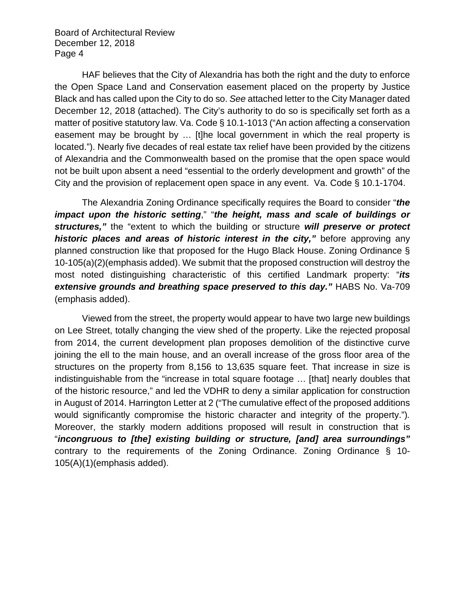HAF believes that the City of Alexandria has both the right and the duty to enforce the Open Space Land and Conservation easement placed on the property by Justice Black and has called upon the City to do so. *See* attached letter to the City Manager dated December 12, 2018 (attached). The City's authority to do so is specifically set forth as a matter of positive statutory law. Va. Code § 10.1-1013 ("An action affecting a conservation easement may be brought by … [t]he local government in which the real property is located."). Nearly five decades of real estate tax relief have been provided by the citizens of Alexandria and the Commonwealth based on the promise that the open space would not be built upon absent a need "essential to the orderly development and growth" of the City and the provision of replacement open space in any event. Va. Code § 10.1-1704.

The Alexandria Zoning Ordinance specifically requires the Board to consider "*the impact upon the historic setting*," "*the height, mass and scale of buildings or structures,"* the "extent to which the building or structure *will preserve or protect historic places and areas of historic interest in the city,"* before approving any planned construction like that proposed for the Hugo Black House. Zoning Ordinance § 10-105(a)(2)(emphasis added). We submit that the proposed construction will destroy the most noted distinguishing characteristic of this certified Landmark property: "*its extensive grounds and breathing space preserved to this day."* HABS No. Va-709 (emphasis added).

Viewed from the street, the property would appear to have two large new buildings on Lee Street, totally changing the view shed of the property. Like the rejected proposal from 2014, the current development plan proposes demolition of the distinctive curve joining the ell to the main house, and an overall increase of the gross floor area of the structures on the property from 8,156 to 13,635 square feet. That increase in size is indistinguishable from the "increase in total square footage … [that] nearly doubles that of the historic resource," and led the VDHR to deny a similar application for construction in August of 2014. Harrington Letter at 2 ("The cumulative effect of the proposed additions would significantly compromise the historic character and integrity of the property.")*.* Moreover, the starkly modern additions proposed will result in construction that is "*incongruous to [the] existing building or structure, [and] area surroundings"* contrary to the requirements of the Zoning Ordinance. Zoning Ordinance § 10- 105(A)(1)(emphasis added).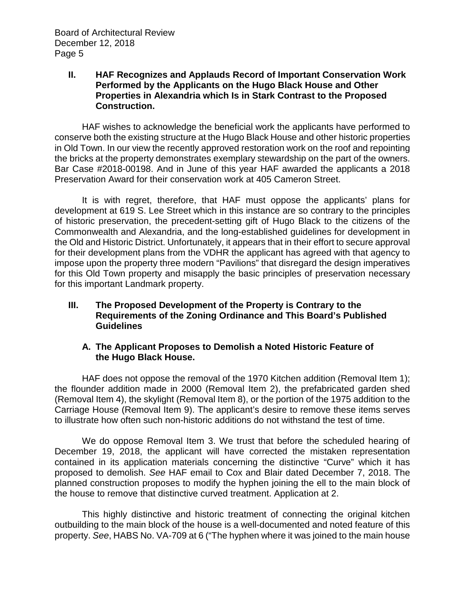#### **II. HAF Recognizes and Applauds Record of Important Conservation Work Performed by the Applicants on the Hugo Black House and Other Properties in Alexandria which Is in Stark Contrast to the Proposed Construction.**

HAF wishes to acknowledge the beneficial work the applicants have performed to conserve both the existing structure at the Hugo Black House and other historic properties in Old Town. In our view the recently approved restoration work on the roof and repointing the bricks at the property demonstrates exemplary stewardship on the part of the owners. Bar Case #2018-00198. And in June of this year HAF awarded the applicants a 2018 Preservation Award for their conservation work at 405 Cameron Street.

It is with regret, therefore, that HAF must oppose the applicants' plans for development at 619 S. Lee Street which in this instance are so contrary to the principles of historic preservation, the precedent-setting gift of Hugo Black to the citizens of the Commonwealth and Alexandria, and the long-established guidelines for development in the Old and Historic District. Unfortunately, it appears that in their effort to secure approval for their development plans from the VDHR the applicant has agreed with that agency to impose upon the property three modern "Pavilions" that disregard the design imperatives for this Old Town property and misapply the basic principles of preservation necessary for this important Landmark property.

## **III. The Proposed Development of the Property is Contrary to the Requirements of the Zoning Ordinance and This Board's Published Guidelines**

## **A. The Applicant Proposes to Demolish a Noted Historic Feature of the Hugo Black House.**

HAF does not oppose the removal of the 1970 Kitchen addition (Removal Item 1); the flounder addition made in 2000 (Removal Item 2), the prefabricated garden shed (Removal Item 4), the skylight (Removal Item 8), or the portion of the 1975 addition to the Carriage House (Removal Item 9). The applicant's desire to remove these items serves to illustrate how often such non-historic additions do not withstand the test of time.

We do oppose Removal Item 3. We trust that before the scheduled hearing of December 19, 2018, the applicant will have corrected the mistaken representation contained in its application materials concerning the distinctive "Curve" which it has proposed to demolish. *See* HAF email to Cox and Blair dated December 7, 2018. The planned construction proposes to modify the hyphen joining the ell to the main block of the house to remove that distinctive curved treatment. Application at 2.

This highly distinctive and historic treatment of connecting the original kitchen outbuilding to the main block of the house is a well-documented and noted feature of this property. *See*, HABS No. VA-709 at 6 ("The hyphen where it was joined to the main house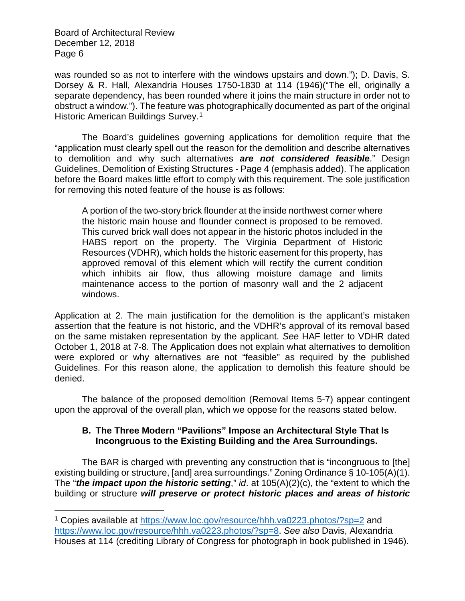$\overline{\phantom{a}}$ 

was rounded so as not to interfere with the windows upstairs and down."); D. Davis, S. Dorsey & R. Hall, Alexandria Houses 1750-1830 at 114 (1946)("The ell, originally a separate dependency, has been rounded where it joins the main structure in order not to obstruct a window."). The feature was photographically documented as part of the original Historic American Buildings Survey.<sup>[1](#page-5-0)</sup>

The Board's guidelines governing applications for demolition require that the "application must clearly spell out the reason for the demolition and describe alternatives to demolition and why such alternatives *are not considered feasible*." Design Guidelines, Demolition of Existing Structures - Page 4 (emphasis added). The application before the Board makes little effort to comply with this requirement. The sole justification for removing this noted feature of the house is as follows:

A portion of the two-story brick flounder at the inside northwest corner where the historic main house and flounder connect is proposed to be removed. This curved brick wall does not appear in the historic photos included in the HABS report on the property. The Virginia Department of Historic Resources (VDHR), which holds the historic easement for this property, has approved removal of this element which will rectify the current condition which inhibits air flow, thus allowing moisture damage and limits maintenance access to the portion of masonry wall and the 2 adjacent windows.

Application at 2. The main justification for the demolition is the applicant's mistaken assertion that the feature is not historic, and the VDHR's approval of its removal based on the same mistaken representation by the applicant. *See* HAF letter to VDHR dated October 1, 2018 at 7-8. The Application does not explain what alternatives to demolition were explored or why alternatives are not "feasible" as required by the published Guidelines. For this reason alone, the application to demolish this feature should be denied.

The balance of the proposed demolition (Removal Items 5-7) appear contingent upon the approval of the overall plan, which we oppose for the reasons stated below.

# **B. The Three Modern "Pavilions" Impose an Architectural Style That Is Incongruous to the Existing Building and the Area Surroundings.**

The BAR is charged with preventing any construction that is "incongruous to [the] existing building or structure, [and] area surroundings." Zoning Ordinance § 10-105(A)(1). The "*the impact upon the historic setting*," *id*. at 105(A)(2)(c), the "extent to which the building or structure *will preserve or protect historic places and areas of historic* 

<span id="page-5-0"></span><sup>1</sup> Copies available at<https://www.loc.gov/resource/hhh.va0223.photos/?sp=2> and [https://www.loc.gov/resource/hhh.va0223.photos/?sp=8.](https://www.loc.gov/resource/hhh.va0223.photos/?sp=8) *See also* Davis, Alexandria Houses at 114 (crediting Library of Congress for photograph in book published in 1946).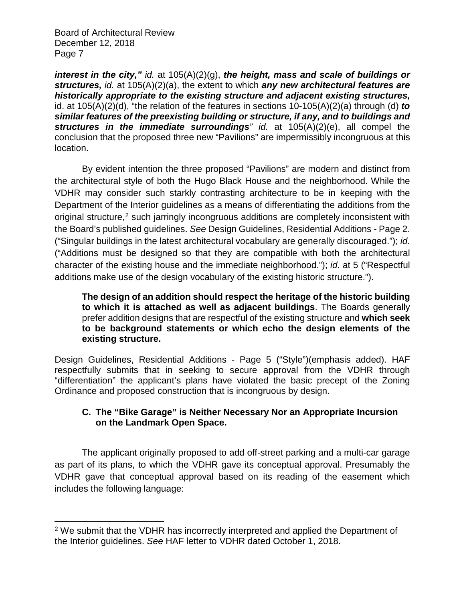l

*interest in the city," id.* at 105(A)(2)(g), *the height, mass and scale of buildings or structures, id.* at 105(A)(2)(a), the extent to which *any new architectural features are historically appropriate to the existing structure and adjacent existing structures,*  id. at 105(A)(2)(d), "the relation of the features in sections 10-105(A)(2)(a) through (d) *to similar features of the preexisting building or structure, if any, and to buildings and structures in the immediate surroundings" id.* at 105(A)(2)(e), all compel the conclusion that the proposed three new "Pavilions" are impermissibly incongruous at this location.

By evident intention the three proposed "Pavilions" are modern and distinct from the architectural style of both the Hugo Black House and the neighborhood. While the VDHR may consider such starkly contrasting architecture to be in keeping with the Department of the Interior guidelines as a means of differentiating the additions from the original structure,<sup>[2](#page-6-0)</sup> such jarringly incongruous additions are completely inconsistent with the Board's published guidelines. *See* Design Guidelines, Residential Additions - Page 2. ("Singular buildings in the latest architectural vocabulary are generally discouraged."); *id.*  ("Additions must be designed so that they are compatible with both the architectural character of the existing house and the immediate neighborhood."); *id.* at 5 ("Respectful additions make use of the design vocabulary of the existing historic structure.").

**The design of an addition should respect the heritage of the historic building to which it is attached as well as adjacent buildings**. The Boards generally prefer addition designs that are respectful of the existing structure and **which seek to be background statements or which echo the design elements of the existing structure.**

Design Guidelines, Residential Additions - Page 5 ("Style")(emphasis added). HAF respectfully submits that in seeking to secure approval from the VDHR through "differentiation" the applicant's plans have violated the basic precept of the Zoning Ordinance and proposed construction that is incongruous by design.

# **C. The "Bike Garage" is Neither Necessary Nor an Appropriate Incursion on the Landmark Open Space.**

The applicant originally proposed to add off-street parking and a multi-car garage as part of its plans, to which the VDHR gave its conceptual approval. Presumably the VDHR gave that conceptual approval based on its reading of the easement which includes the following language:

<span id="page-6-0"></span><sup>&</sup>lt;sup>2</sup> We submit that the VDHR has incorrectly interpreted and applied the Department of the Interior guidelines. *See* HAF letter to VDHR dated October 1, 2018.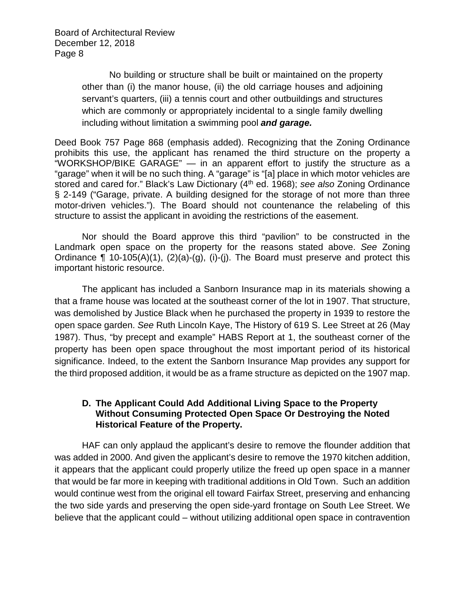> No building or structure shall be built or maintained on the property other than (i) the manor house, (ii) the old carriage houses and adjoining servant's quarters, (iii) a tennis court and other outbuildings and structures which are commonly or appropriately incidental to a single family dwelling including without limitation a swimming pool *and garage.*

Deed Book 757 Page 868 (emphasis added). Recognizing that the Zoning Ordinance prohibits this use, the applicant has renamed the third structure on the property a "WORKSHOP/BIKE GARAGE" — in an apparent effort to justify the structure as a "garage" when it will be no such thing. A "garage" is "[a] place in which motor vehicles are stored and cared for." Black's Law Dictionary (4th ed. 1968); *see also* Zoning Ordinance § 2-149 ("Garage, private. A building designed for the storage of not more than three motor-driven vehicles."). The Board should not countenance the relabeling of this structure to assist the applicant in avoiding the restrictions of the easement.

Nor should the Board approve this third "pavilion" to be constructed in the Landmark open space on the property for the reasons stated above. *See* Zoning Ordinance  $\P$  10-105(A)(1), (2)(a)-(g), (i)-(j). The Board must preserve and protect this important historic resource.

The applicant has included a Sanborn Insurance map in its materials showing a that a frame house was located at the southeast corner of the lot in 1907. That structure, was demolished by Justice Black when he purchased the property in 1939 to restore the open space garden. *See* Ruth Lincoln Kaye, The History of 619 S. Lee Street at 26 (May 1987). Thus, "by precept and example" HABS Report at 1, the southeast corner of the property has been open space throughout the most important period of its historical significance. Indeed, to the extent the Sanborn Insurance Map provides any support for the third proposed addition, it would be as a frame structure as depicted on the 1907 map.

## **D. The Applicant Could Add Additional Living Space to the Property Without Consuming Protected Open Space Or Destroying the Noted Historical Feature of the Property.**

HAF can only applaud the applicant's desire to remove the flounder addition that was added in 2000. And given the applicant's desire to remove the 1970 kitchen addition, it appears that the applicant could properly utilize the freed up open space in a manner that would be far more in keeping with traditional additions in Old Town. Such an addition would continue west from the original ell toward Fairfax Street, preserving and enhancing the two side yards and preserving the open side-yard frontage on South Lee Street. We believe that the applicant could – without utilizing additional open space in contravention